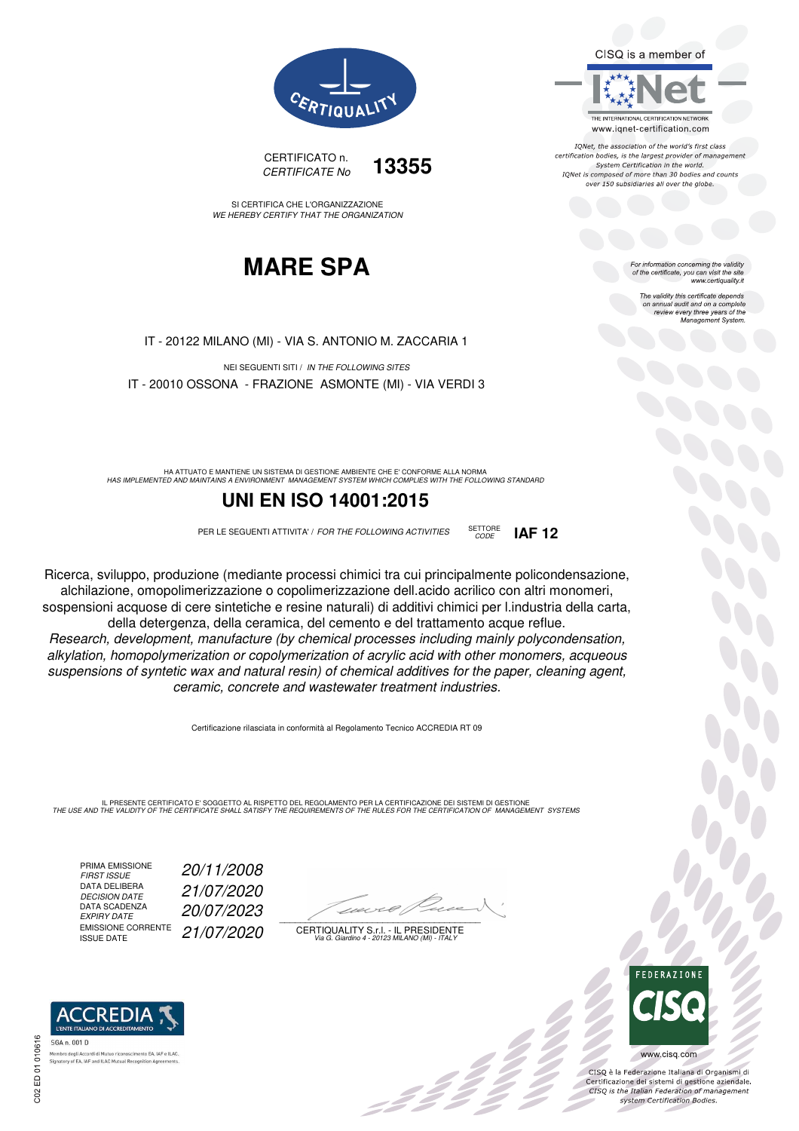CISQ is a member of



IQNet, the association of the world's first class certification bodies, is the largest provider of management System Certification in the world. IQNet is composed of more than 30 bodies and counts over 150 subsidiaries all over the globe.

CODE **IAF 12**

For information concerning the validity<br>of the certificate, you can visit the site www.certiquality.it

> The validity this certificate depends The validity this certificate depends<br>on annual audit and on a complete<br>review every three years of the<br>Management System.



CERTIFICATO n. CERTIFICATE No **13355**

SI CERTIFICA CHE L'ORGANIZZAZIONE WE HEREBY CERTIFY THAT THE ORGANIZATION

### **MARE SPA**

IT - 20122 MILANO (MI) - VIA S. ANTONIO M. ZACCARIA 1

NEI SEGUENTI SITI / IN THE FOLLOWING SITES IT - 20010 OSSONA - FRAZIONE ASMONTE (MI) - VIA VERDI 3

HA ATTUATO E MANTIENE UN SISTEMA DI GESTIONE AMBIENTE CHE E' CONFORME ALLA NORMA<br>HAS IMPLEMENTED AND MAINTAINS A ENVIRONMENT MANAGEMENT SYSTEM WHICH COMPLIES WITH THE FOLLOWING STANDARD

### **UNI EN ISO 14001:2015**

PER LE SEGUENTI ATTIVITA' / FOR THE FOLLOWING ACTIVITIES SETTORE

Ricerca, sviluppo, produzione (mediante processi chimici tra cui principalmente policondensazione, alchilazione, omopolimerizzazione o copolimerizzazione dell.acido acrilico con altri monomeri, sospensioni acquose di cere sintetiche e resine naturali) di additivi chimici per l.industria della carta, della detergenza, della ceramica, del cemento e del trattamento acque reflue.

Research, development, manufacture (by chemical processes including mainly polycondensation, alkylation, homopolymerization or copolymerization of acrylic acid with other monomers, acqueous suspensions of syntetic wax and natural resin) of chemical additives for the paper, cleaning agent, ceramic, concrete and wastewater treatment industries.

Certificazione rilasciata in conformità al Regolamento Tecnico ACCREDIA RT 09

IL PRESENTE CERTIFICATO E' SOGGETTO AL RISPETTO DEL REGOLAMENTO PER LA CERTIFICAZIONE DEI SISTEMI DI GESTIONE<br>THE USE AND THE VALIDITY OF THE CERTIFICATE SHALL SATISFY THE REQUIREMENTS OF THE RULES FOR THE CERTIFICATION OF

PRIMA EMISSIONE<br>FIRST ISSUE DATA DELIBERA<br>DECISION DATE DATA SCADENZA<br>EXPIRY DATE EMISSIONE CORRENTE<br>ISSUE DATE

FIRST ISSUE 20/11/2008 DECISION DATE 21/07/2020 EXPIRY DATE 20/07/2023 21/07/2020

 $\overline{\phantom{a}}$ 

:42 Z

CERTIQUALITY S.r.l. - IL PRESIDENTE Via G. Giardino 4 - 20123 MILANO (MI) - ITALY



 $\frac{1}{2}$ 

www.cisq.com

CISO è la Federazione Italiana di Organismi di CISQ e la regerazione italiana di Organismi di<br>Certificazione dei sistemi di gestione aziendale.<br>CISQ is the Italian Federation of management system Certification Bodies.